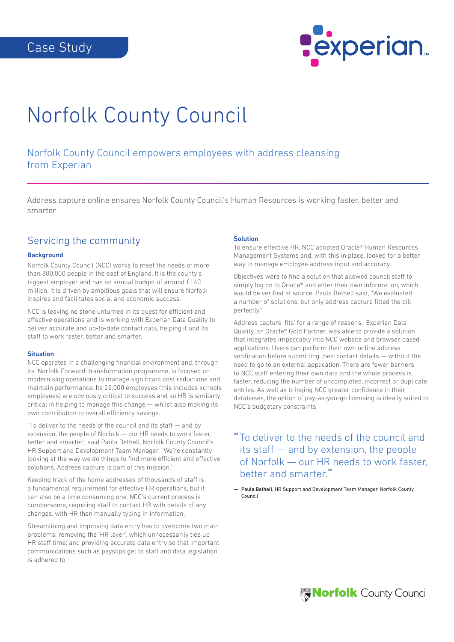

# Norfolk County Council

Norfolk County Council empowers employees with address cleansing from Experian

Address capture online ensures Norfolk County Council's Human Resources is working faster, better and smarter

### Servicing the community

#### **Background**

Norfolk County Council (NCC) works to meet the needs of more than 800,000 people in the east of England. It is the county's biggest employer and has an annual budget of around £140 million. It is driven by ambitious goals that will ensure Norfolk inspires and facilitates social and economic success.

NCC is leaving no stone unturned in its quest for efficient and effective operations and is working with Experian Data Quality to deliver accurate and up-to-date contact data, helping it and its staff to work faster, better and smarter.

#### **Situation**

NCC operates in a challenging financial environment and, through its 'Norfolk Forward' transformation programme, is focused on modernising operations to manage significant cost reductions and maintain performance. Its 22,000 employees (this includes schools employees) are obviously critical to success and so HR is similarly critical in helping to manage this change — whilst also making its own contribution to overall efficiency savings.

"To deliver to the needs of the council and its staff — and by extension, the people of Norfolk — our HR needs to work faster, better and smarter," said Paula Bethell, Norfolk County Council's HR Support and Development Team Manager. "We're constantly looking at the way we do things to find more efficient and effective solutions. Address capture is part of this mission."

Keeping track of the home addresses of thousands of staff is a fundamental requirement for effective HR operations, but it can also be a time consuming one. NCC's current process is cumbersome, requiring staff to contact HR with details of any changes, with HR then manually typing in information.

Streamlining and improving data entry has to overcome two main problems: removing the 'HR layer', which unnecessarily ties up HR staff time; and providing accurate data entry so that important communications such as payslips get to staff and data legislation is adhered to.

#### Solution

To ensure effective HR, NCC adopted Oracle® Human Resources Management Systems and, with this in place, looked for a better way to manage employee address input and accuracy.

Objectives were to find a solution that allowed council staff to simply log on to Oracle® and enter their own information, which would be verified at source. Paula Bethell said, "We evaluated a number of solutions, but only address capture fitted the bill perfectly."

Address capture 'fits' for a range of reasons. Experian Data Quality, an Oracle® Gold Partner, was able to provide a solution that integrates impeccably into NCC website and browser based applications. Users can perform their own online address verification before submitting their contact details — without the need to go to an external application. There are fewer barriers to NCC staff entering their own data and the whole process is faster, reducing the number of uncompleted, incorrect or duplicate entries. As well as bringing NCC greater confidence in their databases, the option of pay-as-you-go licensing is ideally suited to NCC's budgetary constraints.

## "To deliver to the needs of the council and its staff — and by extension, the people of Norfolk — our HR needs to work faster, better and smarter."

— Paula Bethell, HR Support and Development Team Manager, Norfolk County Council